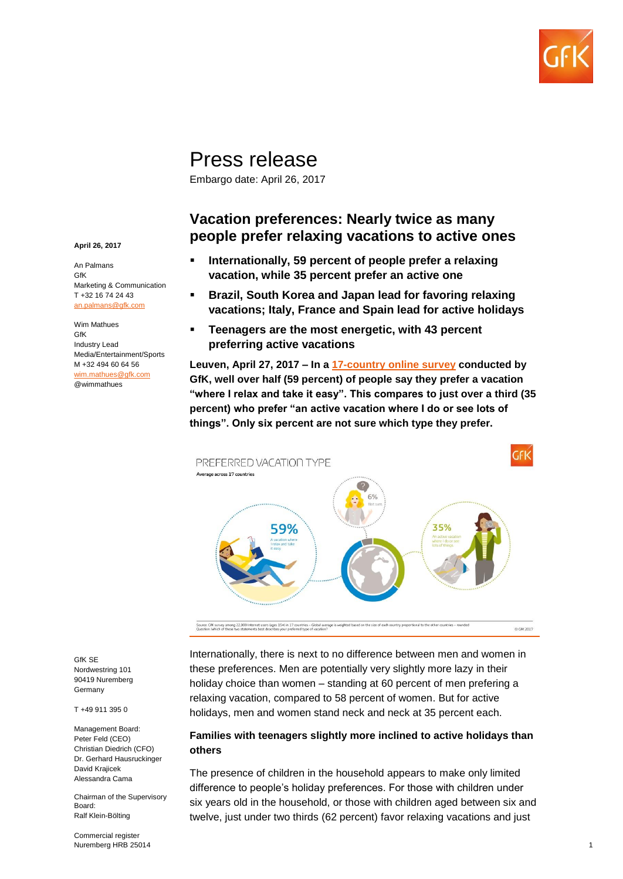

# Press release

Embargo date: April 26, 2017

# **Vacation preferences: Nearly twice as many people prefer relaxing vacations to active ones**

- **Internationally, 59 percent of people prefer a relaxing vacation, while 35 percent prefer an active one**
- **Brazil, South Korea and Japan lead for favoring relaxing vacations; Italy, France and Spain lead for active holidays**
- **Teenagers are the most energetic, with 43 percent preferring active vacations**

**Leuven, April 27, 2017 – In a [17-country online survey](http://www.gfk.com/global-studies/global-study-overview/) conducted by GfK, well over half (59 percent) of people say they prefer a vacation "where I relax and take it easy". This compares to just over a third (35 percent) who prefer "an active vacation where I do or see lots of things". Only six percent are not sure which type they prefer.** 



Internationally, there is next to no difference between men and women in these preferences. Men are potentially very slightly more lazy in their holiday choice than women – standing at 60 percent of men prefering a relaxing vacation, compared to 58 percent of women. But for active holidays, men and women stand neck and neck at 35 percent each.

#### **Families with teenagers slightly more inclined to active holidays than others**

The presence of children in the household appears to make only limited difference to people's holiday preferences. For those with children under six years old in the household, or those with children aged between six and twelve, just under two thirds (62 percent) favor relaxing vacations and just

**April 26, 2017**

An Palmans GfK Marketing & Communication T +32 16 74 24 43 [an.palmans@gfk.com](mailto:an.palmans@gfk.com)

Wim Mathues GfK Industry Lead Media/Entertainment/Sports M +32 494 60 64 56 [wim.mathues@gfk.com](mailto:wim.mathues@gfk.com) @wimmathues

GfK SE Nordwestring 101 90419 Nuremberg Germany

T +49 911 395 0

Management Board: Peter Feld (CEO) Christian Diedrich (CFO) Dr. Gerhard Hausruckinger David Krajicek Alessandra Cama

Chairman of the Supervisory Board: Ralf Klein-Bölting

Commercial register Nuremberg HRB 25014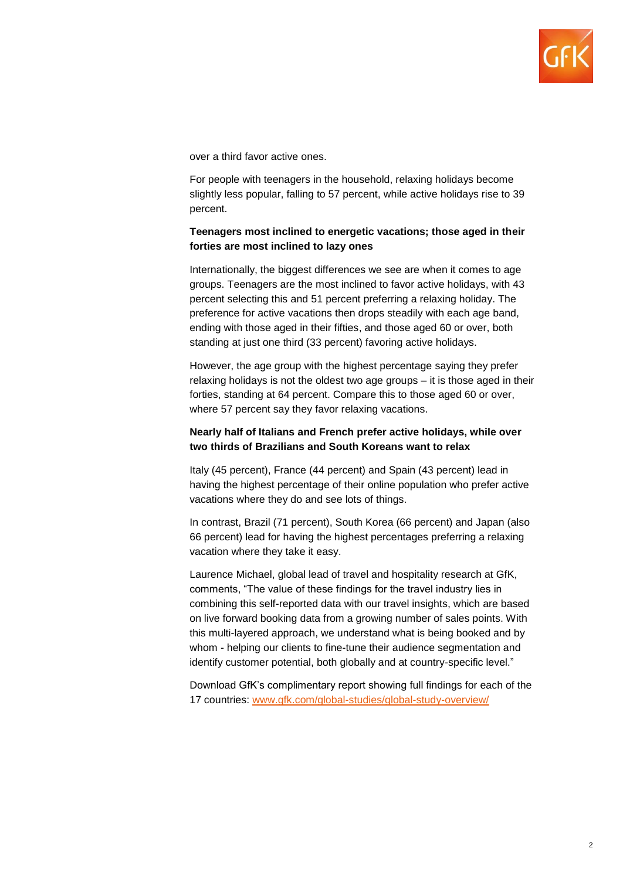

over a third favor active ones.

For people with teenagers in the household, relaxing holidays become slightly less popular, falling to 57 percent, while active holidays rise to 39 percent.

## **Teenagers most inclined to energetic vacations; those aged in their forties are most inclined to lazy ones**

Internationally, the biggest differences we see are when it comes to age groups. Teenagers are the most inclined to favor active holidays, with 43 percent selecting this and 51 percent preferring a relaxing holiday. The preference for active vacations then drops steadily with each age band, ending with those aged in their fifties, and those aged 60 or over, both standing at just one third (33 percent) favoring active holidays.

However, the age group with the highest percentage saying they prefer relaxing holidays is not the oldest two age groups – it is those aged in their forties, standing at 64 percent. Compare this to those aged 60 or over, where 57 percent say they favor relaxing vacations.

### **Nearly half of Italians and French prefer active holidays, while over two thirds of Brazilians and South Koreans want to relax**

Italy (45 percent), France (44 percent) and Spain (43 percent) lead in having the highest percentage of their online population who prefer active vacations where they do and see lots of things.

In contrast, Brazil (71 percent), South Korea (66 percent) and Japan (also 66 percent) lead for having the highest percentages preferring a relaxing vacation where they take it easy.

Laurence Michael, global lead of travel and hospitality research at GfK, comments, "The value of these findings for the travel industry lies in combining this self-reported data with our travel insights, which are based on live forward booking data from a growing number of sales points. With this multi-layered approach, we understand what is being booked and by whom - helping our clients to fine-tune their audience segmentation and identify customer potential, both globally and at country-specific level."

Download GfK's complimentary report showing full findings for each of the 17 countries: [www.gfk.com/global-studies/global-study-overview/](http://www.gfk.com/global-studies/global-study-overview/)